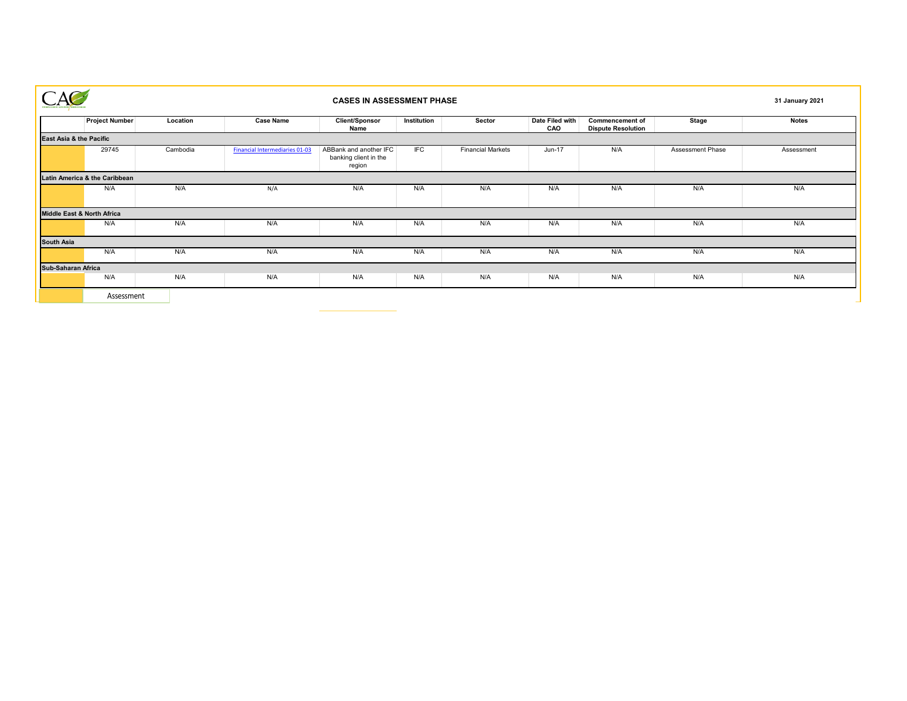|                               |          | <b>CASES IN ASSESSMENT PHASE</b>      |                                                           |             |                          |                        |                                                     |                  |              |  |
|-------------------------------|----------|---------------------------------------|-----------------------------------------------------------|-------------|--------------------------|------------------------|-----------------------------------------------------|------------------|--------------|--|
| <b>Project Number</b>         | Location | <b>Case Name</b>                      | <b>Client/Sponsor</b><br>Name                             | Institution | Sector                   | Date Filed with<br>CAO | <b>Commencement of</b><br><b>Dispute Resolution</b> | <b>Stage</b>     | <b>Notes</b> |  |
| East Asia & the Pacific       |          |                                       |                                                           |             |                          |                        |                                                     |                  |              |  |
| 29745                         | Cambodia | <b>Financial Intermediaries 01-03</b> | ABBank and another IFC<br>banking client in the<br>region | IFC         | <b>Financial Markets</b> | Jun-17                 | N/A                                                 | Assessment Phase | Assessment   |  |
| Latin America & the Caribbean |          |                                       |                                                           |             |                          |                        |                                                     |                  |              |  |
| N/A                           | N/A      | N/A                                   | N/A                                                       | N/A         | N/A                      | N/A                    | N/A                                                 | N/A              | N/A          |  |
| Middle East & North Africa    |          |                                       |                                                           |             |                          |                        |                                                     |                  |              |  |
| N/A                           | N/A      | N/A                                   | N/A                                                       | N/A         | N/A                      | N/A                    | N/A                                                 | N/A              | N/A          |  |
| <b>South Asia</b>             |          |                                       |                                                           |             |                          |                        |                                                     |                  |              |  |
| N/A                           | N/A      | N/A                                   | N/A                                                       | N/A         | N/A                      | N/A                    | N/A                                                 | N/A              | N/A          |  |
| <b>Sub-Saharan Africa</b>     |          |                                       |                                                           |             |                          |                        |                                                     |                  |              |  |
| N/A                           | N/A      | N/A                                   | N/A                                                       | N/A         | N/A                      | N/A                    | N/A                                                 | N/A              | N/A          |  |
| Assessment                    |          |                                       |                                                           |             |                          |                        |                                                     |                  |              |  |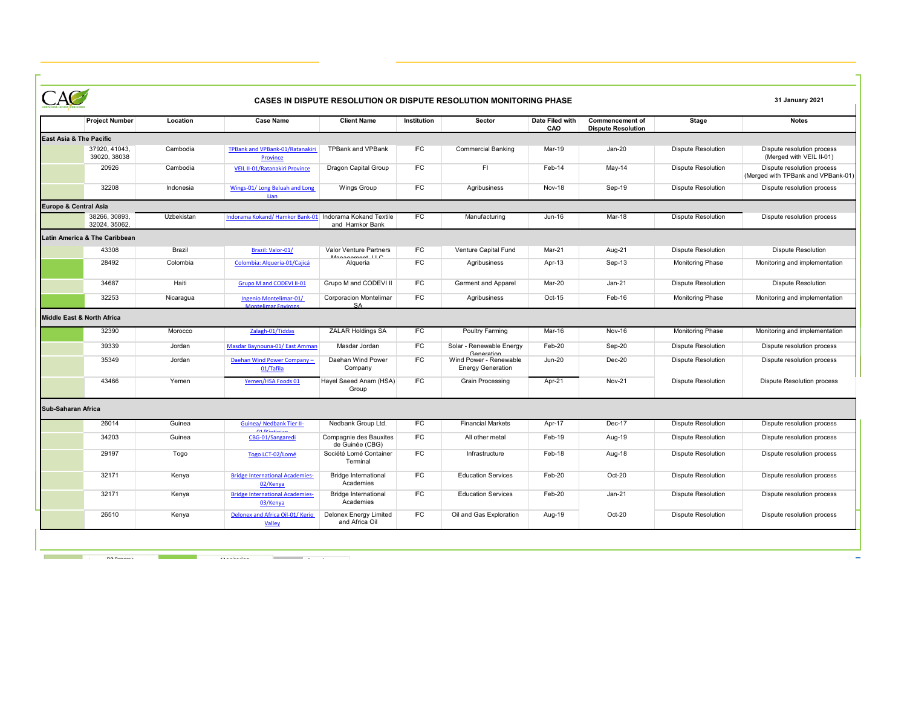|                                       | <b>CASES IN DISPUTE RESOLUTION OR DISPUTE RESOLUTION MONITORING PHASE</b> |            |                                                         |                                                          |             |                                                                  |                        |                                                     |                           |                                                                  |
|---------------------------------------|---------------------------------------------------------------------------|------------|---------------------------------------------------------|----------------------------------------------------------|-------------|------------------------------------------------------------------|------------------------|-----------------------------------------------------|---------------------------|------------------------------------------------------------------|
|                                       | <b>Project Number</b>                                                     | Location   | <b>Case Name</b>                                        | <b>Client Name</b>                                       | Institution | Sector                                                           | Date Filed with<br>CAO | <b>Commencement of</b><br><b>Dispute Resolution</b> | Stage                     | <b>Notes</b>                                                     |
| <b>East Asia &amp; The Pacific</b>    |                                                                           |            |                                                         |                                                          |             |                                                                  |                        |                                                     |                           |                                                                  |
|                                       | 37920, 41043.<br>39020, 38038                                             | Cambodia   | <b>TPBank and VPBank-01/Ratanakiri</b><br>Province      | <b>TPBank and VPBank</b>                                 | IFC         | <b>Commercial Banking</b>                                        | Mar-19                 | $Jan-20$                                            | <b>Dispute Resolution</b> | Dispute resolution process<br>(Merged with VEIL II-01)           |
|                                       | 20926                                                                     | Cambodia   | VEIL II-01/Ratanakiri Province                          | Dragon Capital Group                                     | IFC         | FI                                                               | Feb-14                 | May-14                                              | <b>Dispute Resolution</b> | Dispute resolution process<br>(Merged with TPBank and VPBank-01) |
|                                       | 32208                                                                     | Indonesia  | Wings-01/ Long Beluah and Long<br>lian                  | <b>Wings Group</b>                                       | <b>IFC</b>  | Agribusiness                                                     | Nov-18                 | Sep-19                                              | <b>Dispute Resolution</b> | Dispute resolution process                                       |
| Europe & Central Asia                 |                                                                           |            |                                                         |                                                          |             |                                                                  |                        |                                                     |                           |                                                                  |
|                                       | 38266, 30893,<br>32024, 35062,                                            | Uzbekistan | Indorama Kokand/ Hamkor Bank-01 Indorama Kokand Textile | and Hamkor Bank                                          | FC          | Manufacturing                                                    | Jun-16                 | Mar-18                                              | <b>Dispute Resolution</b> | Dispute resolution process                                       |
|                                       | <b>Latin America &amp; The Caribbean</b>                                  |            |                                                         |                                                          |             |                                                                  |                        |                                                     |                           |                                                                  |
|                                       | 43308                                                                     | Brazil     | Brazil: Valor-01/                                       | <b>Valor Venture Partners</b><br>$M$ anasamant $II \cap$ | <b>IFC</b>  | Venture Capital Fund                                             | Mar-21                 | Aug-21                                              | <b>Dispute Resolution</b> | <b>Dispute Resolution</b>                                        |
|                                       | 28492                                                                     | Colombia   | Colombia: Algueria-01/Cajicá                            | Alqueria                                                 | <b>IFC</b>  | Agribusiness                                                     | Apr-13                 | Sep-13                                              | <b>Monitoring Phase</b>   | Monitoring and implementation                                    |
|                                       | 34687                                                                     | Haiti      | Grupo M and CODEVI II-01                                | Grupo M and CODEVI II                                    | <b>IFC</b>  | <b>Garment and Apparel</b>                                       | Mar-20                 | $Jan-21$                                            | <b>Dispute Resolution</b> | <b>Dispute Resolution</b>                                        |
|                                       | 32253                                                                     | Nicaragua  | Ingenio Montelimar-01/<br><b>Montelimar Environs</b>    | <b>Corporacion Montelimar</b><br><b>SA</b>               | <b>IFC</b>  | Agribusiness                                                     | Oct-15                 | Feb-16                                              | <b>Monitoring Phase</b>   | Monitoring and implementation                                    |
| <b>Middle East &amp; North Africa</b> |                                                                           |            |                                                         |                                                          |             |                                                                  |                        |                                                     |                           |                                                                  |
|                                       | 32390                                                                     | Morocco    | Zalagh-01/Tiddas                                        | <b>ZALAR Holdings SA</b>                                 | IFC         | <b>Poultry Farming</b>                                           | Mar-16                 | Nov-16                                              | <b>Monitoring Phase</b>   | Monitoring and implementation                                    |
|                                       | 39339                                                                     | Jordan     | Masdar Baynouna-01/ East Amman                          | Masdar Jordan                                            | <b>IFC</b>  | Solar - Renewable Energy                                         | Feb-20                 | Sep-20                                              | <b>Dispute Resolution</b> | Dispute resolution process                                       |
|                                       | 35349                                                                     | Jordan     | Daehan Wind Power Company -<br>01/Tafila                | Daehan Wind Power<br>Company                             | <b>IFC</b>  | Generation<br>Wind Power - Renewable<br><b>Energy Generation</b> | <b>Jun-20</b>          | Dec-20                                              | <b>Dispute Resolution</b> | Dispute resolution process                                       |
|                                       | 43466                                                                     | Yemen      | Yemen/HSA Foods 01                                      | Hayel Saeed Anam (HSA)<br>Group                          | <b>IFC</b>  | <b>Grain Processing</b>                                          | Apr-21                 | <b>Nov-21</b>                                       | <b>Dispute Resolution</b> | <b>Dispute Resolution process</b>                                |
| Sub-Saharan Africa                    |                                                                           |            |                                                         |                                                          |             |                                                                  |                        |                                                     |                           |                                                                  |
|                                       | 26014                                                                     | Guinea     | <b>Guinea/ Nedbank Tier II-</b>                         | Nedbank Group Ltd.                                       | IFC         | <b>Financial Markets</b>                                         | Apr-17                 | Dec-17                                              | <b>Dispute Resolution</b> | Dispute resolution process                                       |
|                                       | 34203                                                                     | Guinea     | <b><i><u>A1 IVintinian</u></i></b><br>CBG-01/Sangaredi  | Compagnie des Bauxites<br>de Guinée (CBG)                | <b>IFC</b>  | All other metal                                                  | Feb-19                 | Aug-19                                              | <b>Dispute Resolution</b> | Dispute resolution process                                       |
|                                       | 29197                                                                     | Togo       | Togo LCT-02/Lomé                                        | Société Lomé Container<br>Terminal                       | <b>IFC</b>  | Infrastructure                                                   | Feb-18                 | Aug-18                                              | <b>Dispute Resolution</b> | Dispute resolution process                                       |
|                                       | 32171                                                                     | Kenya      | <b>Bridge International Academies-</b><br>02/Kenya      | <b>Bridge International</b><br>Academies                 | <b>IFC</b>  | <b>Education Services</b>                                        | Feb-20                 | Oct-20                                              | <b>Dispute Resolution</b> | Dispute resolution process                                       |
|                                       | 32171                                                                     | Kenya      | <b>Bridge International Academies-</b><br>03/Kenva      | <b>Bridge International</b><br>Academies                 | <b>IFC</b>  | <b>Education Services</b>                                        | Feb-20                 | $Jan-21$                                            | <b>Dispute Resolution</b> | Dispute resolution process                                       |
|                                       | 26510                                                                     | Kenya      | Delonex and Africa Oil-01/ Kerio<br>Valley              | <b>Delonex Energy Limited</b><br>and Africa Oil          | <b>IFC</b>  | Oil and Gas Exploration                                          | Aug-19                 | Oct-20                                              | <b>Dispute Resolution</b> | Dispute resolution process                                       |

<u> 1980 - Johann Barnett, mars and de france a strong and de france a strong and de france and de france and de</u>

<u> 1980 - Johann Barn, mars ar breithinn ar chuid ann an t-Alban ann an t-Alban ann an t-Alban ann an t-Alban a</u>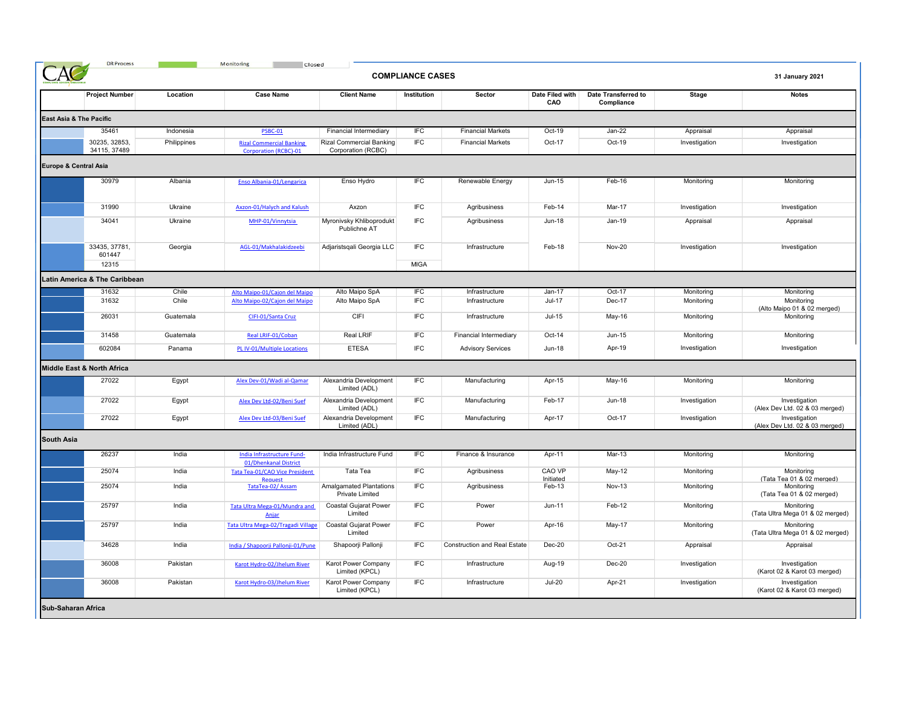| <b>COMPLIANCE CASES</b> |                               |             |                                                                 |                                                   |             |                                     |                        |                                   | 31 January 2021 |                                                 |
|-------------------------|-------------------------------|-------------|-----------------------------------------------------------------|---------------------------------------------------|-------------|-------------------------------------|------------------------|-----------------------------------|-----------------|-------------------------------------------------|
|                         | <b>Project Number</b>         | Location    | <b>Case Name</b>                                                | <b>Client Name</b>                                | Institution | Sector                              | Date Filed with<br>CAO | Date Transferred to<br>Compliance | Stage           | <b>Notes</b>                                    |
| East Asia & The Pacific |                               |             |                                                                 |                                                   |             |                                     |                        |                                   |                 |                                                 |
|                         | 35461                         | Indonesia   | <b>PSBC-01</b>                                                  | Financial Intermediary                            | <b>IFC</b>  | <b>Financial Markets</b>            | Oct-19                 | Jan-22                            | Appraisal       | Appraisal                                       |
|                         | 30235, 32853,<br>34115, 37489 | Philippines | <b>Rizal Commercial Banking</b><br><b>Corporation (RCBC)-01</b> | Rizal Commercial Banking<br>Corporation (RCBC)    | <b>IFC</b>  | <b>Financial Markets</b>            | Oct-17                 | Oct-19                            | Investigation   | Investigation                                   |
| Europe & Central Asia   |                               |             |                                                                 |                                                   |             |                                     |                        |                                   |                 |                                                 |
|                         | 30979                         | Albania     | Enso Albania-01/Lengarica                                       | Enso Hydro                                        | <b>IFC</b>  | Renewable Energy                    | Jun-15                 | Feb-16                            | Monitoring      | Monitoring                                      |
|                         | 31990                         | Ukraine     | Axzon-01/Halych and Kalush                                      | Axzon                                             | <b>IFC</b>  | Agribusiness                        | Feb-14                 | Mar-17                            | Investigation   | Investigation                                   |
|                         | 34041                         | Ukraine     | MHP-01/Vinnytsia                                                | Myronivsky Khliboprodukt<br>Publichne AT          | <b>IFC</b>  | Agribusiness                        | Jun-18                 | Jan-19                            | Appraisal       | Appraisal                                       |
|                         | 33435, 37781,<br>601447       | Georgia     | AGL-01/Makhalakidzeebi                                          | Adjaristsqali Georgia LLC                         | <b>IFC</b>  | Infrastructure                      | Feb-18                 | <b>Nov-20</b>                     | Investigation   | Investigation                                   |
|                         | 12315                         |             |                                                                 |                                                   | <b>MIGA</b> |                                     |                        |                                   |                 |                                                 |
|                         | Latin America & The Caribbean |             |                                                                 |                                                   |             |                                     |                        |                                   |                 |                                                 |
|                         | 31632                         | Chile       | Alto Maipo-01/Cajon del Maipo                                   | Alto Maipo SpA                                    | IFC         | Infrastructure                      | $Jan-17$               | Oct-17                            | Monitoring      | Monitoring                                      |
|                         | 31632                         | Chile       | Alto Maipo-02/Cajon del Maipo                                   | Alto Maipo SpA                                    | IFC         | Infrastructure                      | $Jul-17$               | Dec-17                            | Monitoring      | Monitoring<br>(Alto Maipo 01 & 02 merged)       |
|                         | 26031                         | Guatemala   | CIFI-01/Santa Cruz                                              | CIFI                                              | <b>IFC</b>  | Infrastructure                      | $Jul-15$               | May-16                            | Monitoring      | Monitoring                                      |
|                         | 31458                         | Guatemala   | Real LRIF-01/Coban                                              | Real LRIF                                         | <b>IFC</b>  | Financial Intermediary              | Oct-14                 | Jun-15                            | Monitoring      | Monitoring                                      |
|                         | 602084                        | Panama      | PL IV-01/Multiple Locations                                     | <b>ETESA</b>                                      | <b>IFC</b>  | <b>Advisory Services</b>            | <b>Jun-18</b>          | Apr-19                            | Investigation   | Investigation                                   |
|                         | Middle East & North Africa    |             |                                                                 |                                                   |             |                                     |                        |                                   |                 |                                                 |
|                         | 27022                         | Egypt       | Alex Dev-01/Wadi al-Qamar                                       | Alexandria Development<br>Limited (ADL)           | IFC         | Manufacturing                       | Apr-15                 | May-16                            | Monitoring      | Monitoring                                      |
|                         | 27022                         | Egypt       | Alex Dev Ltd-02/Beni Suef                                       | Alexandria Development<br>Limited (ADL)           | <b>IFC</b>  | Manufacturing                       | Feb-17                 | <b>Jun-18</b>                     | Investigation   | Investigation<br>(Alex Dev Ltd. 02 & 03 merged) |
|                         | 27022                         | Egypt       | Alex Dev Ltd-03/Beni Suef                                       | Alexandria Development<br>Limited (ADL)           | <b>IFC</b>  | Manufacturing                       | Apr-17                 | Oct-17                            | Investigation   | Investigation<br>(Alex Dev Ltd. 02 & 03 merged) |
| <b>South Asia</b>       |                               |             |                                                                 |                                                   |             |                                     |                        |                                   |                 |                                                 |
|                         | 26237                         | India       | India Infrastructure Fund-<br>01/Dhenkanal District             | India Infrastructure Fund                         | <b>IFC</b>  | Finance & Insurance                 | Apr-11                 | Mar-13                            | Monitoring      | Monitoring                                      |
|                         | 25074                         | India       | Tata Tea-01/CAO Vice President<br>Request                       | Tata Tea                                          | <b>IFC</b>  | Agribusiness                        | CAO VP<br>Initiated    | May-12                            | Monitoring      | Monitoring<br>(Tata Tea 01 & 02 merged)         |
|                         | 25074                         | India       | TataTea-02/Assam                                                | <b>Amalgamated Plantations</b><br>Private Limited | <b>IFC</b>  | Agribusiness                        | Feb-13                 | <b>Nov-13</b>                     | Monitoring      | Monitoring<br>(Tata Tea 01 & 02 merged)         |
|                         | 25797                         | India       | Tata Ultra Mega-01/Mundra and<br>Anjar                          | Coastal Gujarat Power<br>Limited                  | <b>IFC</b>  | Power                               | $Jun-11$               | Feb-12                            | Monitoring      | Monitoring<br>(Tata Ultra Mega 01 & 02 merged)  |
|                         | 25797                         | India       | Tata Ultra Mega-02/Tragadi Village                              | Coastal Gujarat Power<br>Limited                  | <b>IFC</b>  | Power                               | Apr-16                 | May-17                            | Monitoring      | Monitoring<br>(Tata Ultra Mega 01 & 02 merged)  |
|                         | 34628                         | India       | India / Shapoorji Pallonji-01/Pune                              | Shapoorji Pallonji                                | IFC         | <b>Construction and Real Estate</b> | $Dec-20$               | Oct-21                            | Appraisal       | Appraisal                                       |
|                         | 36008                         | Pakistan    | Karot Hydro-02/Jhelum River                                     | Karot Power Company<br>Limited (KPCL)             | <b>IFC</b>  | Infrastructure                      | Aug-19                 | Dec-20                            | Investigation   | Investigation<br>(Karot 02 & Karot 03 merged)   |
|                         | 36008                         | Pakistan    | Karot Hydro-03/Jhelum River                                     | Karot Power Company                               | <b>IFC</b>  | Infrastructure                      | <b>Jul-20</b>          | Apr-21                            | Investigation   | Investigation                                   |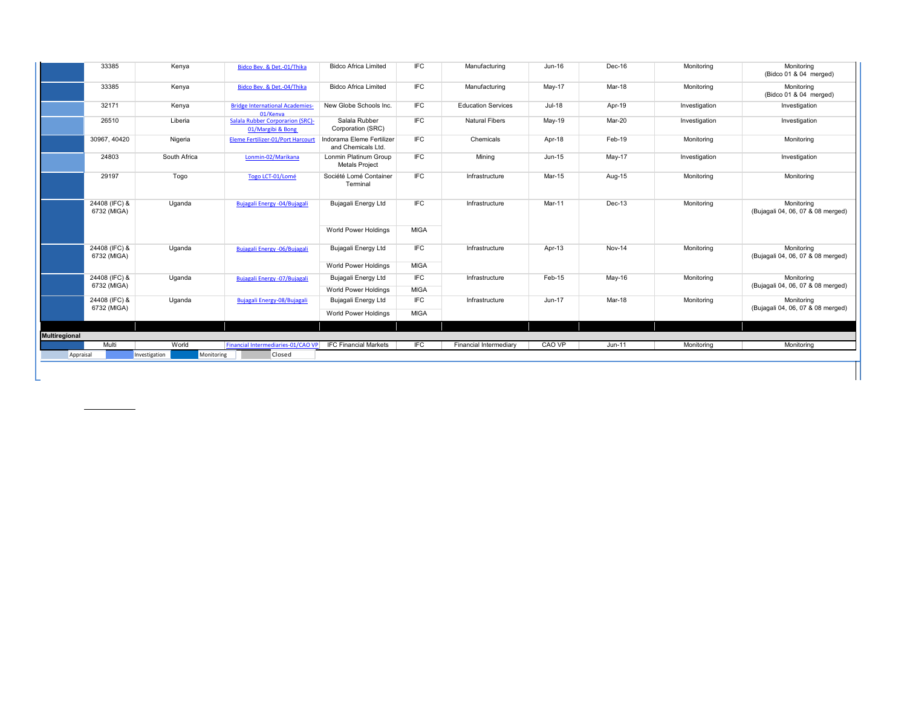|                      | 33385                                              | Kenya        | Bidco Bev. & Det.-01/Thika                                   | <b>Bidco Africa Limited</b>                     | <b>IFC</b>  | Manufacturing             | Jun-16   | Dec-16   | Monitoring    | Monitoring<br>(Bidco 01 & 04 merged)            |
|----------------------|----------------------------------------------------|--------------|--------------------------------------------------------------|-------------------------------------------------|-------------|---------------------------|----------|----------|---------------|-------------------------------------------------|
|                      | 33385                                              | Kenya        | Bidco Bev. & Det.-04/Thika                                   | <b>Bidco Africa Limited</b>                     | <b>IFC</b>  | Manufacturing             | May-17   | Mar-18   | Monitoring    | Monitoring<br>(Bidco 01 & 04 merged)            |
|                      | 32171                                              | Kenya        | <b>Bridge International Academies-</b><br>01/Kenva           | New Globe Schools Inc.                          | <b>IFC</b>  | <b>Education Services</b> | $Jul-18$ | Apr-19   | Investigation | Investigation                                   |
|                      | 26510                                              | Liberia      | <b>Salala Rubber Corporarion (SRC)-</b><br>01/Margibi & Bong | Salala Rubber<br>Corporation (SRC)              | <b>IFC</b>  | <b>Natural Fibers</b>     | May-19   | Mar-20   | Investigation | Investigation                                   |
|                      | 30967, 40420                                       | Nigeria      | <b>Eleme Fertilizer-01/Port Harcourt</b>                     | Indorama Eleme Fertilizer<br>and Chemicals Ltd. | <b>IFC</b>  | Chemicals                 | Apr-18   | Feb-19   | Monitoring    | Monitoring                                      |
|                      | 24803                                              | South Africa | Lonmin-02/Marikana                                           | Lonmin Platinum Group<br><b>Metals Project</b>  | <b>IFC</b>  | Mining                    | Jun-15   | $May-17$ | Investigation | Investigation                                   |
|                      | 29197                                              | Togo         | Togo LCT-01/Lomé                                             | Société Lomé Container<br>Terminal              | <b>IFC</b>  | Infrastructure            | Mar-15   | Aug-15   | Monitoring    | Monitoring                                      |
|                      | 24408 (IFC) &<br>6732 (MIGA)                       | Uganda       | Bujagali Energy - 04/Bujagali                                | Bujagali Energy Ltd                             | <b>IFC</b>  | Infrastructure            | Mar-11   | $Dec-13$ | Monitoring    | Monitoring<br>(Bujagali 04, 06, 07 & 08 merged) |
|                      |                                                    |              |                                                              | World Power Holdings                            | <b>MIGA</b> |                           |          |          |               |                                                 |
|                      | 24408 (IFC) &<br>6732 (MIGA)                       | Uganda       | Bujagali Energy - 06/Bujagali                                | Bujagali Energy Ltd                             | <b>IFC</b>  | Infrastructure            | Apr-13   | Nov-14   | Monitoring    | Monitoring<br>(Bujagali 04, 06, 07 & 08 merged) |
|                      |                                                    |              |                                                              | World Power Holdings                            | <b>MIGA</b> |                           |          |          |               |                                                 |
|                      | 24408 (IFC) &                                      | Uganda       | Bujagali Energy - 07/Bujagali                                | Bujagali Energy Ltd                             | <b>IFC</b>  | Infrastructure            | Feb-15   | May-16   | Monitoring    | Monitoring<br>(Bujagali 04, 06, 07 & 08 merged) |
|                      | 6732 (MIGA)                                        |              |                                                              | World Power Holdings                            | <b>MIGA</b> |                           |          |          |               |                                                 |
|                      | 24408 (IFC) &                                      | Uganda       | Bujagali Energy-08/Bujagali                                  | Bujagali Energy Ltd                             | <b>IFC</b>  | Infrastructure            | Jun-17   | Mar-18   | Monitoring    | Monitorina                                      |
|                      | 6732 (MIGA)                                        |              |                                                              | World Power Holdings                            | <b>MIGA</b> |                           |          |          |               | (Bujagali 04, 06, 07 & 08 merged)               |
|                      |                                                    |              |                                                              |                                                 |             |                           |          |          |               |                                                 |
| <b>Multiregional</b> |                                                    |              |                                                              |                                                 |             |                           |          |          |               |                                                 |
|                      | Multi                                              | World        | Financial Intermediaries-01/CAO VP                           | <b>IFC Financial Markets</b>                    | <b>IFC</b>  | Financial Intermediary    | CAO VP   | Jun-11   | Monitoring    | Monitoring                                      |
|                      | Closed<br>Monitoring<br>Appraisal<br>Investigation |              |                                                              |                                                 |             |                           |          |          |               |                                                 |